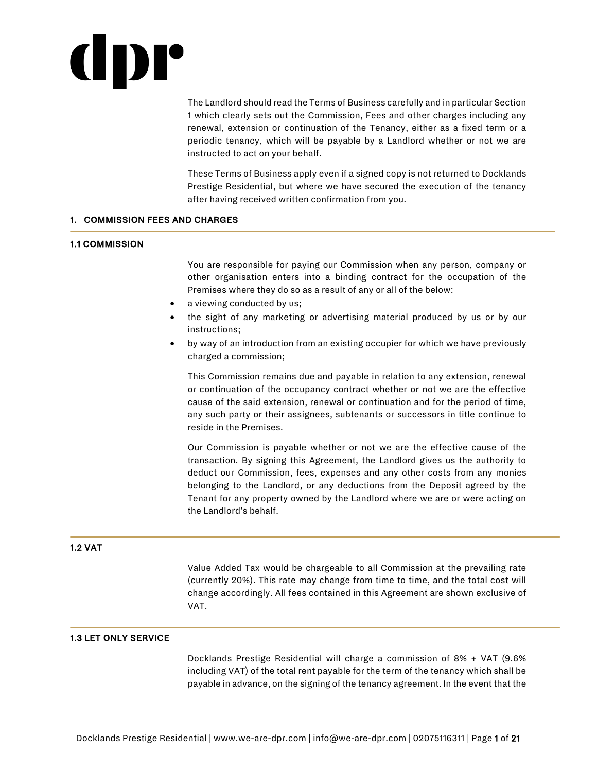# IDI°

The Landlord should read the Terms of Business carefully and in particular Section 1 which clearly sets out the Commission, Fees and other charges including any renewal, extension or continuation of the Tenancy, either as a fixed term or a periodic tenancy, which will be payable by a Landlord whether or not we are instructed to act on your behalf.

These Terms of Business apply even if a signed copy is not returned to Docklands Prestige Residential, but where we have secured the execution of the tenancy after having received written confirmation from you.

### 1. COMMISSION FEES AND CHARGES

### 1.1 COMMISSION

You are responsible for paying our Commission when any person, company or other organisation enters into a binding contract for the occupation of the Premises where they do so as a result of any or all of the below:

- a viewing conducted by us;
- the sight of any marketing or advertising material produced by us or by our instructions;
- by way of an introduction from an existing occupier for which we have previously charged a commission;

This Commission remains due and payable in relation to any extension, renewal or continuation of the occupancy contract whether or not we are the effective cause of the said extension, renewal or continuation and for the period of time, any such party or their assignees, subtenants or successors in title continue to reside in the Premises.

Our Commission is payable whether or not we are the effective cause of the transaction. By signing this Agreement, the Landlord gives us the authority to deduct our Commission, fees, expenses and any other costs from any monies belonging to the Landlord, or any deductions from the Deposit agreed by the Tenant for any property owned by the Landlord where we are or were acting on the Landlord's behalf.

# 1.2 VAT

Value Added Tax would be chargeable to all Commission at the prevailing rate (currently 20%). This rate may change from time to time, and the total cost will change accordingly. All fees contained in this Agreement are shown exclusive of VAT.

# 1.3 LET ONLY SERVICE

Docklands Prestige Residential will charge a commission of 8% + VAT (9.6% including VAT) of the total rent payable for the term of the tenancy which shall be payable in advance, on the signing of the tenancy agreement. In the event that the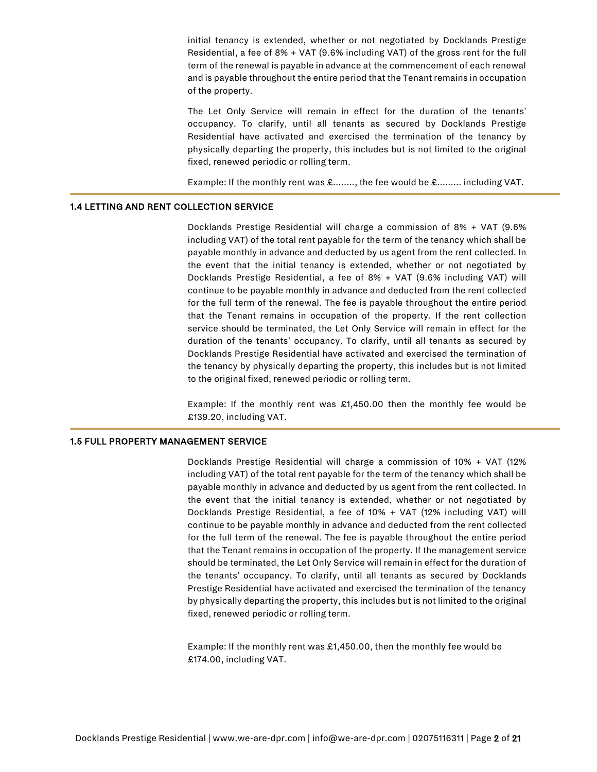initial tenancy is extended, whether or not negotiated by Docklands Prestige Residential, a fee of 8% + VAT (9.6% including VAT) of the gross rent for the full term of the renewal is payable in advance at the commencement of each renewal and is payable throughout the entire period that the Tenant remains in occupation of the property.

The Let Only Service will remain in effect for the duration of the tenants' occupancy. To clarify, until all tenants as secured by Docklands Prestige Residential have activated and exercised the termination of the tenancy by physically departing the property, this includes but is not limited to the original fixed, renewed periodic or rolling term.

Example: If the monthly rent was £........, the fee would be £......... including VAT.

### 1.4 LETTING AND RENT COLLECTION SERVICE

Docklands Prestige Residential will charge a commission of 8% + VAT (9.6% including VAT) of the total rent payable for the term of the tenancy which shall be payable monthly in advance and deducted by us agent from the rent collected. In the event that the initial tenancy is extended, whether or not negotiated by Docklands Prestige Residential, a fee of 8% + VAT (9.6% including VAT) will continue to be payable monthly in advance and deducted from the rent collected for the full term of the renewal. The fee is payable throughout the entire period that the Tenant remains in occupation of the property. If the rent collection service should be terminated, the Let Only Service will remain in effect for the duration of the tenants' occupancy. To clarify, until all tenants as secured by Docklands Prestige Residential have activated and exercised the termination of the tenancy by physically departing the property, this includes but is not limited to the original fixed, renewed periodic or rolling term.

Example: If the monthly rent was £1,450.00 then the monthly fee would be £139.20, including VAT.

# 1.5 FULL PROPERTY MANAGEMENT SERVICE

Docklands Prestige Residential will charge a commission of 10% + VAT (12% including VAT) of the total rent payable for the term of the tenancy which shall be payable monthly in advance and deducted by us agent from the rent collected. In the event that the initial tenancy is extended, whether or not negotiated by Docklands Prestige Residential, a fee of 10% + VAT (12% including VAT) will continue to be payable monthly in advance and deducted from the rent collected for the full term of the renewal. The fee is payable throughout the entire period that the Tenant remains in occupation of the property. If the management service should be terminated, the Let Only Service will remain in effect for the duration of the tenants' occupancy. To clarify, until all tenants as secured by Docklands Prestige Residential have activated and exercised the termination of the tenancy by physically departing the property, this includes but is not limited to the original fixed, renewed periodic or rolling term.

Example: If the monthly rent was £1,450.00, then the monthly fee would be £174.00, including VAT.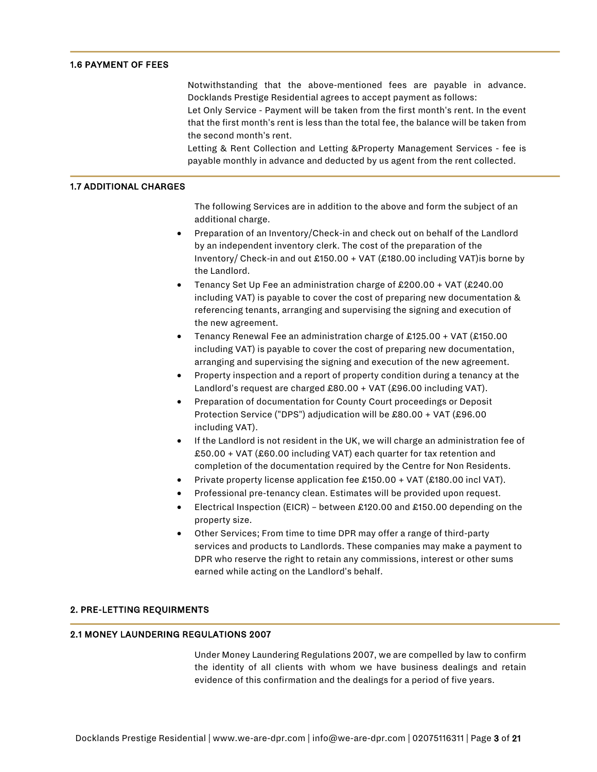# 1.6 PAYMENT OF FEES

Notwithstanding that the above-mentioned fees are payable in advance. Docklands Prestige Residential agrees to accept payment as follows:

Let Only Service - Payment will be taken from the first month's rent. In the event that the first month's rent is less than the total fee, the balance will be taken from the second month's rent.

Letting & Rent Collection and Letting &Property Management Services - fee is payable monthly in advance and deducted by us agent from the rent collected.

### 1.7 ADDITIONAL CHARGES

The following Services are in addition to the above and form the subject of an additional charge.

- Preparation of an Inventory/Check-in and check out on behalf of the Landlord by an independent inventory clerk. The cost of the preparation of the Inventory/ Check-in and out £150.00 + VAT (£180.00 including VAT)is borne by the Landlord.
- Tenancy Set Up Fee an administration charge of £200.00 + VAT (£240.00 including VAT) is payable to cover the cost of preparing new documentation & referencing tenants, arranging and supervising the signing and execution of the new agreement.
- Tenancy Renewal Fee an administration charge of £125.00 + VAT (£150.00 including VAT) is payable to cover the cost of preparing new documentation, arranging and supervising the signing and execution of the new agreement.
- Property inspection and a report of property condition during a tenancy at the Landlord's request are charged £80.00 + VAT (£96.00 including VAT).
- Preparation of documentation for County Court proceedings or Deposit Protection Service ("DPS") adjudication will be £80.00 + VAT (£96.00 including VAT).
- If the Landlord is not resident in the UK, we will charge an administration fee of £50.00 + VAT (£60.00 including VAT) each quarter for tax retention and completion of the documentation required by the Centre for Non Residents.
- Private property license application fee £150.00 + VAT (£180.00 incl VAT).
- Professional pre-tenancy clean. Estimates will be provided upon request.
- Electrical Inspection (EICR) between £120.00 and £150.00 depending on the property size.
- Other Services; From time to time DPR may offer a range of third-party services and products to Landlords. These companies may make a payment to DPR who reserve the right to retain any commissions, interest or other sums earned while acting on the Landlord's behalf.

# 2. PRE-LETTING REQUIRMENTS

# 2.1 MONEY LAUNDERING REGULATIONS 2007

Under Money Laundering Regulations 2007, we are compelled by law to confirm the identity of all clients with whom we have business dealings and retain evidence of this confirmation and the dealings for a period of five years.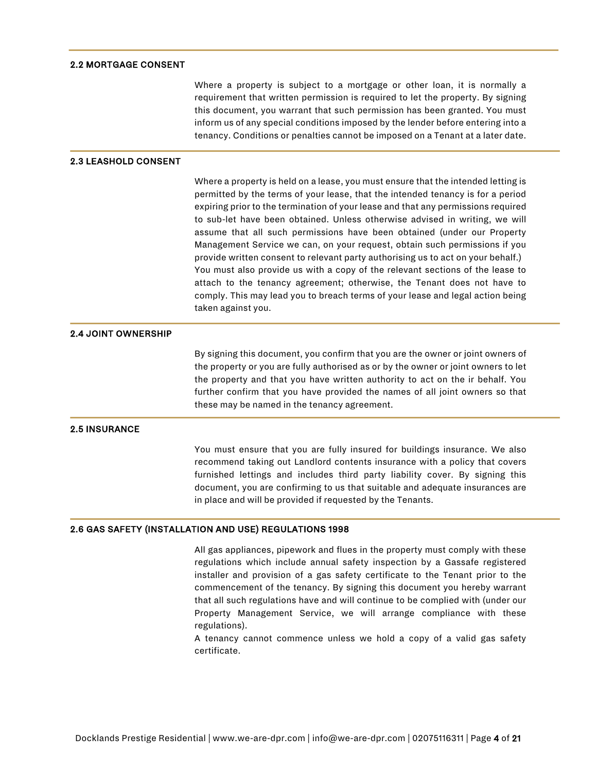### 2.2 MORTGAGE CONSENT

Where a property is subject to a mortgage or other loan, it is normally a requirement that written permission is required to let the property. By signing this document, you warrant that such permission has been granted. You must inform us of any special conditions imposed by the lender before entering into a tenancy. Conditions or penalties cannot be imposed on a Tenant at a later date.

### 2.3 LEASHOLD CONSENT

Where a property is held on a lease, you must ensure that the intended letting is permitted by the terms of your lease, that the intended tenancy is for a period expiring prior to the termination of your lease and that any permissions required to sub-let have been obtained. Unless otherwise advised in writing, we will assume that all such permissions have been obtained (under our Property Management Service we can, on your request, obtain such permissions if you provide written consent to relevant party authorising us to act on your behalf.) You must also provide us with a copy of the relevant sections of the lease to attach to the tenancy agreement; otherwise, the Tenant does not have to comply. This may lead you to breach terms of your lease and legal action being taken against you.

# 2.4 JOINT OWNERSHIP

By signing this document, you confirm that you are the owner or joint owners of the property or you are fully authorised as or by the owner or joint owners to let the property and that you have written authority to act on the ir behalf. You further confirm that you have provided the names of all joint owners so that these may be named in the tenancy agreement.

## 2.5 INSURANCE

You must ensure that you are fully insured for buildings insurance. We also recommend taking out Landlord contents insurance with a policy that covers furnished lettings and includes third party liability cover. By signing this document, you are confirming to us that suitable and adequate insurances are in place and will be provided if requested by the Tenants.

### 2.6 GAS SAFETY (INSTALLATION AND USE) REGULATIONS 1998

All gas appliances, pipework and flues in the property must comply with these regulations which include annual safety inspection by a Gassafe registered installer and provision of a gas safety certificate to the Tenant prior to the commencement of the tenancy. By signing this document you hereby warrant that all such regulations have and will continue to be complied with (under our Property Management Service, we will arrange compliance with these regulations).

A tenancy cannot commence unless we hold a copy of a valid gas safety certificate.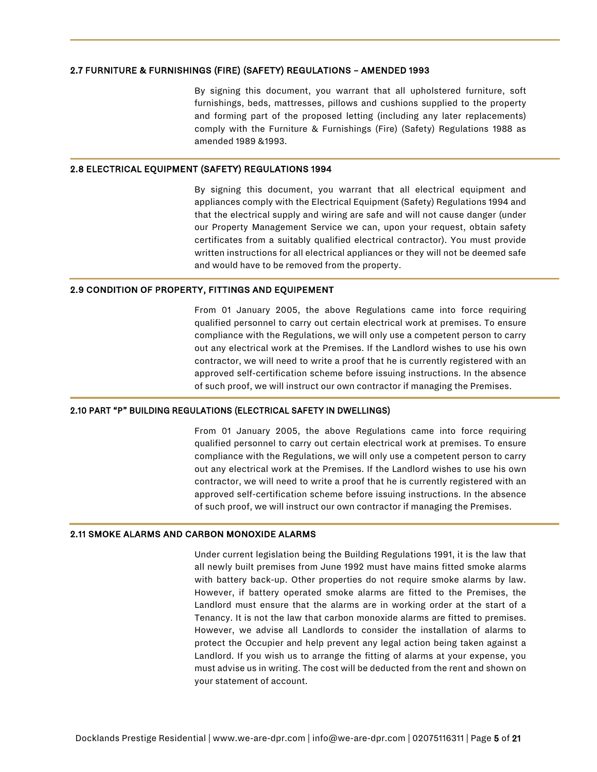### 2.7 FURNITURE & FURNISHINGS (FIRE) (SAFETY) REGULATIONS – AMENDED 1993

By signing this document, you warrant that all upholstered furniture, soft furnishings, beds, mattresses, pillows and cushions supplied to the property and forming part of the proposed letting (including any later replacements) comply with the Furniture & Furnishings (Fire) (Safety) Regulations 1988 as amended 1989 &1993.

### 2.8 ELECTRICAL EQUIPMENT (SAFETY) REGULATIONS 1994

By signing this document, you warrant that all electrical equipment and appliances comply with the Electrical Equipment (Safety) Regulations 1994 and that the electrical supply and wiring are safe and will not cause danger (under our Property Management Service we can, upon your request, obtain safety certificates from a suitably qualified electrical contractor). You must provide written instructions for all electrical appliances or they will not be deemed safe and would have to be removed from the property.

## 2.9 CONDITION OF PROPERTY, FITTINGS AND EQUIPEMENT

From 01 January 2005, the above Regulations came into force requiring qualified personnel to carry out certain electrical work at premises. To ensure compliance with the Regulations, we will only use a competent person to carry out any electrical work at the Premises. If the Landlord wishes to use his own contractor, we will need to write a proof that he is currently registered with an approved self-certification scheme before issuing instructions. In the absence of such proof, we will instruct our own contractor if managing the Premises.

### 2.10 PART "P" BUILDING REGULATIONS (ELECTRICAL SAFETY IN DWELLINGS)

From 01 January 2005, the above Regulations came into force requiring qualified personnel to carry out certain electrical work at premises. To ensure compliance with the Regulations, we will only use a competent person to carry out any electrical work at the Premises. If the Landlord wishes to use his own contractor, we will need to write a proof that he is currently registered with an approved self-certification scheme before issuing instructions. In the absence of such proof, we will instruct our own contractor if managing the Premises.

### 2.11 SMOKE ALARMS AND CARBON MONOXIDE ALARMS

Under current legislation being the Building Regulations 1991, it is the law that all newly built premises from June 1992 must have mains fitted smoke alarms with battery back-up. Other properties do not require smoke alarms by law. However, if battery operated smoke alarms are fitted to the Premises, the Landlord must ensure that the alarms are in working order at the start of a Tenancy. It is not the law that carbon monoxide alarms are fitted to premises. However, we advise all Landlords to consider the installation of alarms to protect the Occupier and help prevent any legal action being taken against a Landlord. If you wish us to arrange the fitting of alarms at your expense, you must advise us in writing. The cost will be deducted from the rent and shown on your statement of account.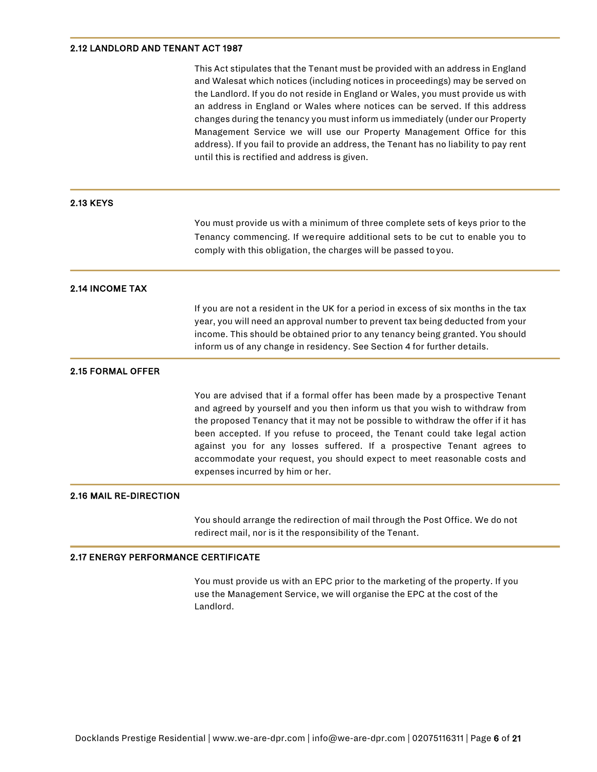# 2.12 LANDLORD AND TENANT ACT 1987

|                                            | This Act stipulates that the Tenant must be provided with an address in England<br>and Walesat which notices (including notices in proceedings) may be served on<br>the Landlord. If you do not reside in England or Wales, you must provide us with<br>an address in England or Wales where notices can be served. If this address<br>changes during the tenancy you must inform us immediately (under our Property                                                                                                      |
|--------------------------------------------|---------------------------------------------------------------------------------------------------------------------------------------------------------------------------------------------------------------------------------------------------------------------------------------------------------------------------------------------------------------------------------------------------------------------------------------------------------------------------------------------------------------------------|
|                                            | Management Service we will use our Property Management Office for this<br>address). If you fail to provide an address, the Tenant has no liability to pay rent<br>until this is rectified and address is given.                                                                                                                                                                                                                                                                                                           |
| <b>2.13 KEYS</b>                           |                                                                                                                                                                                                                                                                                                                                                                                                                                                                                                                           |
|                                            | You must provide us with a minimum of three complete sets of keys prior to the<br>Tenancy commencing. If werequire additional sets to be cut to enable you to<br>comply with this obligation, the charges will be passed to you.                                                                                                                                                                                                                                                                                          |
| <b>2.14 INCOME TAX</b>                     |                                                                                                                                                                                                                                                                                                                                                                                                                                                                                                                           |
|                                            | If you are not a resident in the UK for a period in excess of six months in the tax<br>year, you will need an approval number to prevent tax being deducted from your<br>income. This should be obtained prior to any tenancy being granted. You should<br>inform us of any change in residency. See Section 4 for further details.                                                                                                                                                                                       |
| <b>2.15 FORMAL OFFER</b>                   |                                                                                                                                                                                                                                                                                                                                                                                                                                                                                                                           |
|                                            | You are advised that if a formal offer has been made by a prospective Tenant<br>and agreed by yourself and you then inform us that you wish to withdraw from<br>the proposed Tenancy that it may not be possible to withdraw the offer if it has<br>been accepted. If you refuse to proceed, the Tenant could take legal action<br>against you for any losses suffered. If a prospective Tenant agrees to<br>accommodate your request, you should expect to meet reasonable costs and<br>expenses incurred by him or her. |
| <b>2.16 MAIL RE-DIRECTION</b>              |                                                                                                                                                                                                                                                                                                                                                                                                                                                                                                                           |
|                                            | You should arrange the redirection of mail through the Post Office. We do not<br>redirect mail, nor is it the responsibility of the Tenant.                                                                                                                                                                                                                                                                                                                                                                               |
| <b>2.17 ENERGY PERFORMANCE CERTIFICATE</b> |                                                                                                                                                                                                                                                                                                                                                                                                                                                                                                                           |

You must provide us with an EPC prior to the marketing of the property. If you use the Management Service, we will organise the EPC at the cost of the Landlord.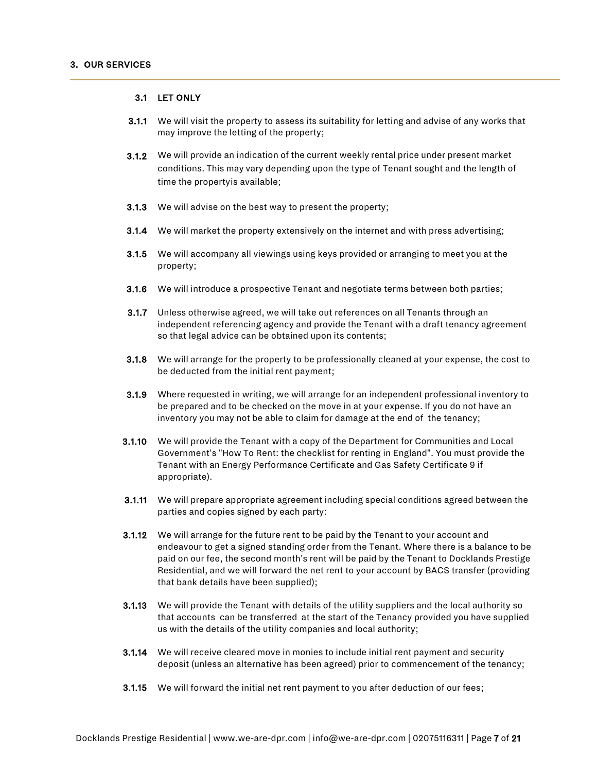### 3.1 LET ONLY

- 3.1.1 We will visit the property to assess its suitability for letting and advise of any works that may improve the letting of the property;
- 3.1.2 We will provide an indication of the current weekly rental price under present market conditions. This may vary depending upon the type of Tenant sought and the length of time the propertyis available;
- **3.1.3** We will advise on the best way to present the property;
- 3.1.4 We will market the property extensively on the internet and with press advertising;
- 3.1.5 We will accompany all viewings using keys provided or arranging to meet you at the property;
- 3.1.6 We will introduce a prospective Tenant and negotiate terms between both parties;
- 3.1.7 Unless otherwise agreed, we will take out references on all Tenants through an independent referencing agency and provide the Tenant with a draft tenancy agreement so that legal advice can be obtained upon its contents;
- 3.1.8 We will arrange for the property to be professionally cleaned at your expense, the cost to be deducted from the initial rent payment;
- 3.1.9 Where requested in writing, we will arrange for an independent professional inventory to be prepared and to be checked on the move in at your expense. If you do not have an inventory you may not be able to claim for damage at the end of the tenancy;
- 3.1.10 We will provide the Tenant with a copy of the Department for Communities and Local Government's "How To Rent: the checklist for renting in England". You must provide the Tenant with an Energy Performance Certificate and Gas Safety Certificate 9 if appropriate).
- 3.1.11 We will prepare appropriate agreement including special conditions agreed between the parties and copies signed by each party:
- 3.1.12 We will arrange for the future rent to be paid by the Tenant to your account and endeavour to get a signed standing order from the Tenant. Where there is a balance to be paid on our fee, the second month's rent will be paid by the Tenant to Docklands Prestige Residential, and we will forward the net rent to your account by BACS transfer (providing that bank details have been supplied);
- **3.1.13** We will provide the Tenant with details of the utility suppliers and the local authority so that accounts can be transferred at the start of the Tenancy provided you have supplied us with the details of the utility companies and local authority;
- 3.1.14 We will receive cleared move in monies to include initial rent payment and security deposit (unless an alternative has been agreed) prior to commencement of the tenancy;
- 3.1.15 We will forward the initial net rent payment to you after deduction of our fees;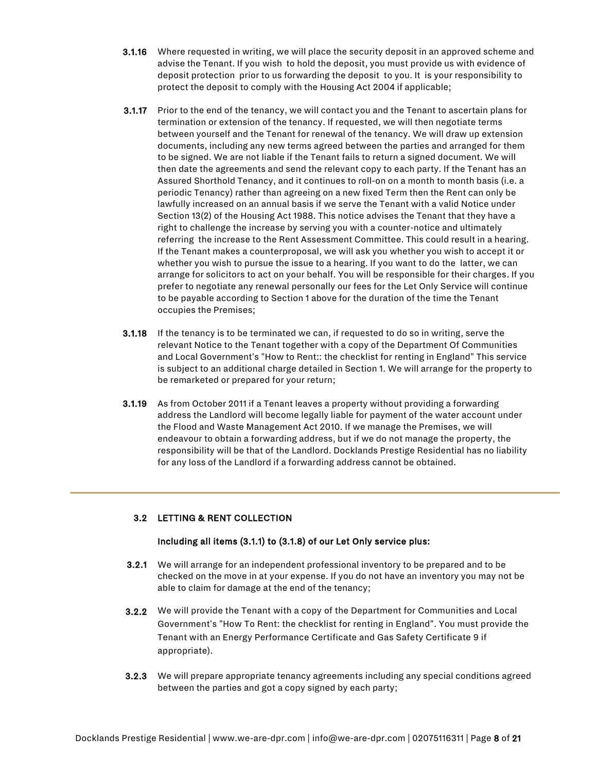- 3.1.16 Where requested in writing, we will place the security deposit in an approved scheme and advise the Tenant. If you wish to hold the deposit, you must provide us with evidence of deposit protection prior to us forwarding the deposit to you. It is your responsibility to protect the deposit to comply with the Housing Act 2004 if applicable;
- 3.1.17 Prior to the end of the tenancy, we will contact you and the Tenant to ascertain plans for termination or extension of the tenancy. If requested, we will then negotiate terms between yourself and the Tenant for renewal of the tenancy. We will draw up extension documents, including any new terms agreed between the parties and arranged for them to be signed. We are not liable if the Tenant fails to return a signed document. We will then date the agreements and send the relevant copy to each party. If the Tenant has an Assured Shorthold Tenancy, and it continues to roll-on on a month to month basis (i.e. a periodic Tenancy) rather than agreeing on a new fixed Term then the Rent can only be lawfully increased on an annual basis if we serve the Tenant with a valid Notice under Section 13(2) of the Housing Act 1988. This notice advises the Tenant that they have a right to challenge the increase by serving you with a counter-notice and ultimately referring the increase to the Rent Assessment Committee. This could result in a hearing. If the Tenant makes a counterproposal, we will ask you whether you wish to accept it or whether you wish to pursue the issue to a hearing. If you want to do the latter, we can arrange for solicitors to act on your behalf. You will be responsible for their charges. If you prefer to negotiate any renewal personally our fees for the Let Only Service will continue to be payable according to Section 1 above for the duration of the time the Tenant occupies the Premises;
- **3.1.18** If the tenancy is to be terminated we can, if requested to do so in writing, serve the relevant Notice to the Tenant together with a copy of the Department Of Communities and Local Government's "How to Rent:: the checklist for renting in England" This service is subject to an additional charge detailed in Section 1. We will arrange for the property to be remarketed or prepared for your return;
- 3.1.19 As from October 2011 if a Tenant leaves a property without providing a forwarding address the Landlord will become legally liable for payment of the water account under the Flood and Waste Management Act 2010. If we manage the Premises, we will endeavour to obtain a forwarding address, but if we do not manage the property, the responsibility will be that of the Landlord. Docklands Prestige Residential has no liability for any loss of the Landlord if a forwarding address cannot be obtained.

# 3.2 LETTING & RENT COLLECTION

# Including all items (3.1.1) to (3.1.8) of our Let Only service plus:

- 3.2.1 We will arrange for an independent professional inventory to be prepared and to be checked on the move in at your expense. If you do not have an inventory you may not be able to claim for damage at the end of the tenancy;
- 3.2.2 We will provide the Tenant with a copy of the Department for Communities and Local Government's "How To Rent: the checklist for renting in England". You must provide the Tenant with an Energy Performance Certificate and Gas Safety Certificate 9 if appropriate).
- 3.2.3 We will prepare appropriate tenancy agreements including any special conditions agreed between the parties and got a copy signed by each party;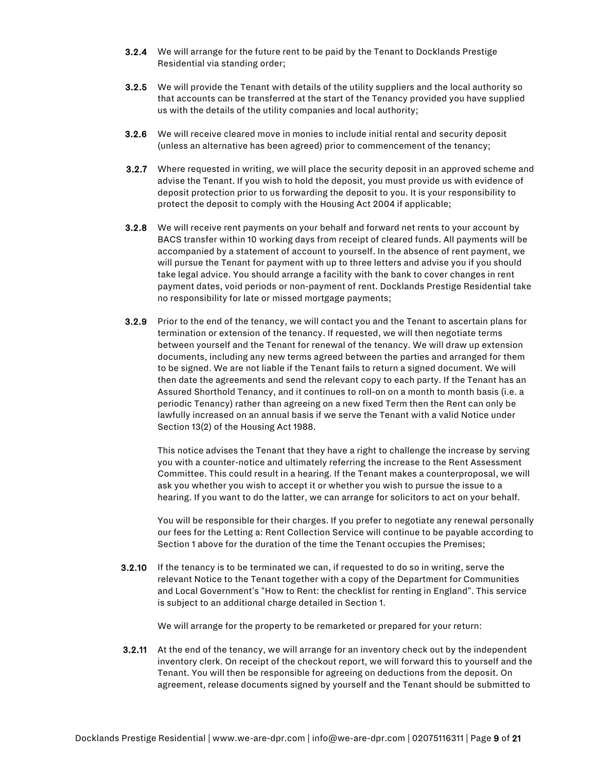- 3.2.4 We will arrange for the future rent to be paid by the Tenant to Docklands Prestige Residential via standing order;
- **3.2.5** We will provide the Tenant with details of the utility suppliers and the local authority so that accounts can be transferred at the start of the Tenancy provided you have supplied us with the details of the utility companies and local authority;
- 3.2.6 We will receive cleared move in monies to include initial rental and security deposit (unless an alternative has been agreed) prior to commencement of the tenancy;
- 3.2.7 Where requested in writing, we will place the security deposit in an approved scheme and advise the Tenant. If you wish to hold the deposit, you must provide us with evidence of deposit protection prior to us forwarding the deposit to you. It is your responsibility to protect the deposit to comply with the Housing Act 2004 if applicable;
- 3.2.8 We will receive rent payments on your behalf and forward net rents to your account by BACS transfer within 10 working days from receipt of cleared funds. All payments will be accompanied by a statement of account to yourself. In the absence of rent payment, we will pursue the Tenant for payment with up to three letters and advise you if you should take legal advice. You should arrange a facility with the bank to cover changes in rent payment dates, void periods or non-payment of rent. Docklands Prestige Residential take no responsibility for late or missed mortgage payments;
- 3.2.9 Prior to the end of the tenancy, we will contact you and the Tenant to ascertain plans for termination or extension of the tenancy. If requested, we will then negotiate terms between yourself and the Tenant for renewal of the tenancy. We will draw up extension documents, including any new terms agreed between the parties and arranged for them to be signed. We are not liable if the Tenant fails to return a signed document. We will then date the agreements and send the relevant copy to each party. If the Tenant has an Assured Shorthold Tenancy, and it continues to roll-on on a month to month basis (i.e. a periodic Tenancy) rather than agreeing on a new fixed Term then the Rent can only be lawfully increased on an annual basis if we serve the Tenant with a valid Notice under Section 13(2) of the Housing Act 1988.

This notice advises the Tenant that they have a right to challenge the increase by serving you with a counter-notice and ultimately referring the increase to the Rent Assessment Committee. This could result in a hearing. If the Tenant makes a counterproposal, we will ask you whether you wish to accept it or whether you wish to pursue the issue to a hearing. If you want to do the latter, we can arrange for solicitors to act on your behalf.

You will be responsible for their charges. If you prefer to negotiate any renewal personally our fees for the Letting a: Rent Collection Service will continue to be payable according to Section 1 above for the duration of the time the Tenant occupies the Premises;

**3.2.10** If the tenancy is to be terminated we can, if requested to do so in writing, serve the relevant Notice to the Tenant together with a copy of the Department for Communities and Local Government's "How to Rent: the checklist for renting in England". This service is subject to an additional charge detailed in Section 1.

We will arrange for the property to be remarketed or prepared for your return:

**3.2.11** At the end of the tenancy, we will arrange for an inventory check out by the independent inventory clerk. On receipt of the checkout report, we will forward this to yourself and the Tenant. You will then be responsible for agreeing on deductions from the deposit. On agreement, release documents signed by yourself and the Tenant should be submitted to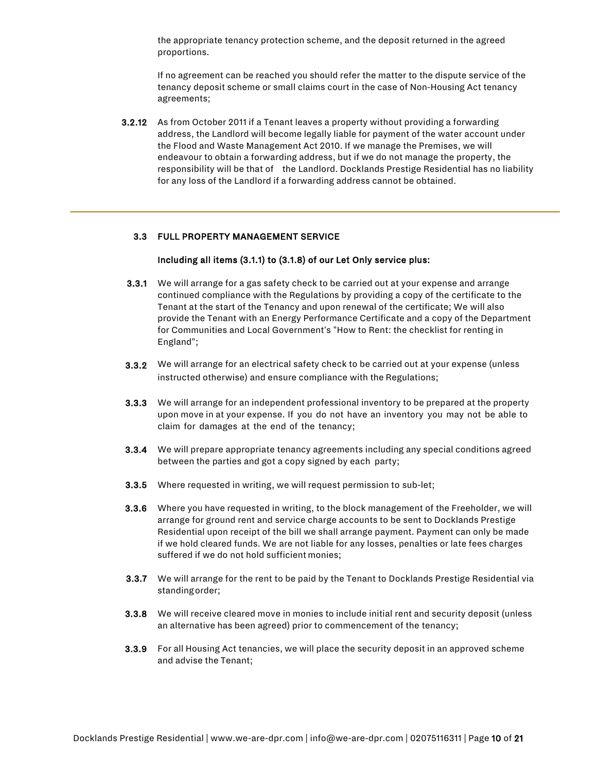the appropriate tenancy protection scheme, and the deposit returned in the agreed proportions.

If no agreement can be reached you should refer the matter to the dispute service of the tenancy deposit scheme or small claims court in the case of Non-Housing Act tenancy agreements;

3.2.12 As from October 2011 if a Tenant leaves a property without providing a forwarding address, the Landlord will become legally liable for payment of the water account under the Flood and Waste Management Act 2010. If we manage the Premises, we will endeavour to obtain a forwarding address, but if we do not manage the property, the responsibility will be that of the Landlord. Docklands Prestige Residential has no liability for any loss of the Landlord if a forwarding address cannot be obtained.

# 3.3 FULL PROPERTY MANAGEMENT SERVICE

### Including all items (3.1.1) to (3.1.8) of our Let Only service plus:

- 3.3.1 We will arrange for a gas safety check to be carried out at your expense and arrange continued compliance with the Regulations by providing a copy of the certificate to the Tenant at the start of the Tenancy and upon renewal of the certificate; We will also provide the Tenant with an Energy Performance Certificate and a copy of the Department for Communities and Local Government's "How to Rent: the checklist for renting in England";
- 3.3.2 We will arrange for an electrical safety check to be carried out at your expense (unless instructed otherwise) and ensure compliance with the Regulations;
- **3.3.3** We will arrange for an independent professional inventory to be prepared at the property upon move in at your expense. If you do not have an inventory you may not be able to claim for damages at the end of the tenancy;
- 3.3.4 We will prepare appropriate tenancy agreements including any special conditions agreed between the parties and got a copy signed by each party;
- 3.3.5 Where requested in writing, we will request permission to sub-let;
- 3.3.6 Where you have requested in writing, to the block management of the Freeholder, we will arrange for ground rent and service charge accounts to be sent to Docklands Prestige Residential upon receipt of the bill we shall arrange payment. Payment can only be made if we hold cleared funds. We are not liable for any losses, penalties or late fees charges suffered if we do not hold sufficient monies;
- 3.3.7 We will arrange for the rent to be paid by the Tenant to Docklands Prestige Residential via standingorder;
- **3.3.8** We will receive cleared move in monies to include initial rent and security deposit (unless an alternative has been agreed) prior to commencement of the tenancy;
- 3.3.9 For all Housing Act tenancies, we will place the security deposit in an approved scheme and advise the Tenant;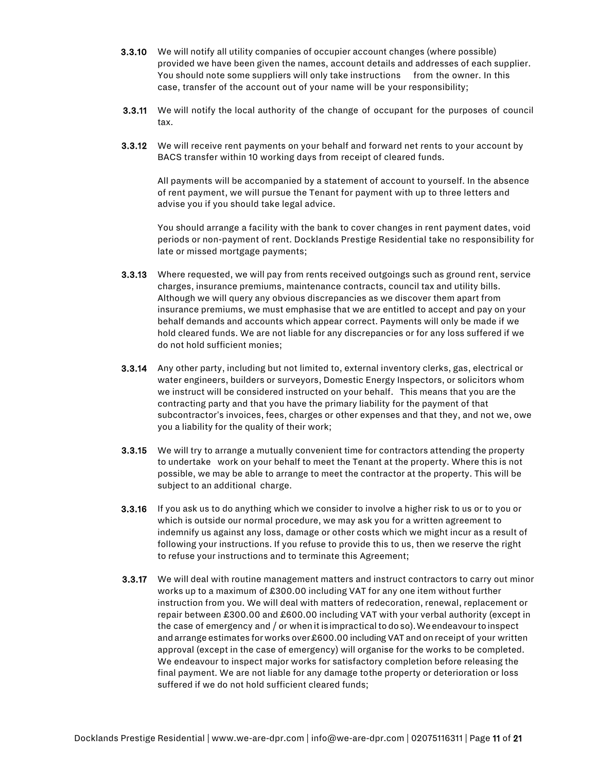- 3.3.10 We will notify all utility companies of occupier account changes (where possible) provided we have been given the names, account details and addresses of each supplier. You should note some suppliers will only take instructions from the owner. In this case, transfer of the account out of your name will be your responsibility;
- 3.3.11 We will notify the local authority of the change of occupant for the purposes of council tax.
- 3.3.12 We will receive rent payments on your behalf and forward net rents to your account by BACS transfer within 10 working days from receipt of cleared funds.

All payments will be accompanied by a statement of account to yourself. In the absence of rent payment, we will pursue the Tenant for payment with up to three letters and advise you if you should take legal advice.

You should arrange a facility with the bank to cover changes in rent payment dates, void periods or non-payment of rent. Docklands Prestige Residential take no responsibility for late or missed mortgage payments;

- 3.3.13 Where requested, we will pay from rents received outgoings such as ground rent, service charges, insurance premiums, maintenance contracts, council tax and utility bills. Although we will query any obvious discrepancies as we discover them apart from insurance premiums, we must emphasise that we are entitled to accept and pay on your behalf demands and accounts which appear correct. Payments will only be made if we hold cleared funds. We are not liable for any discrepancies or for any loss suffered if we do not hold sufficient monies;
- 3.3.14 Any other party, including but not limited to, external inventory clerks, gas, electrical or water engineers, builders or surveyors, Domestic Energy Inspectors, or solicitors whom we instruct will be considered instructed on your behalf. This means that you are the contracting party and that you have the primary liability for the payment of that subcontractor's invoices, fees, charges or other expenses and that they, and not we, owe you a liability for the quality of their work;
- 3.3.15 We will try to arrange a mutually convenient time for contractors attending the property to undertake work on your behalf to meet the Tenant at the property. Where this is not possible, we may be able to arrange to meet the contractor at the property. This will be subject to an additional charge.
- 3.3.16 If you ask us to do anything which we consider to involve a higher risk to us or to you or which is outside our normal procedure, we may ask you for a written agreement to indemnify us against any loss, damage or other costs which we might incur as a result of following your instructions. If you refuse to provide this to us, then we reserve the right to refuse your instructions and to terminate this Agreement;
- 3.3.17 We will deal with routine management matters and instruct contractors to carry out minor works up to a maximum of £300.00 including VAT for any one item without further instruction from you. We will deal with matters of redecoration, renewal, replacement or repair between £300.00 and £600.00 including VAT with your verbal authority (except in the case of emergency and / or when it is impractical to doso). We endeavour to inspect andarrange estimates forworks over£600.00 including VAT andon receipt of your written approval (except in the case of emergency) will organise for the works to be completed. We endeavour to inspect major works for satisfactory completion before releasing the final payment. We are not liable for any damage tothe property or deterioration or loss suffered if we do not hold sufficient cleared funds;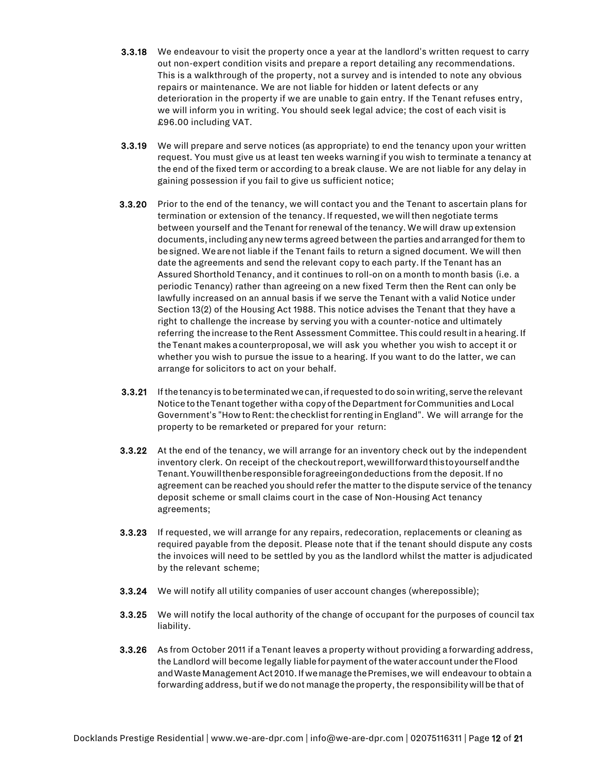- **3.3.18** We endeavour to visit the property once a year at the landlord's written request to carry out non-expert condition visits and prepare a report detailing any recommendations. This is a walkthrough of the property, not a survey and is intended to note any obvious repairs or maintenance. We are not liable for hidden or latent defects or any deterioration in the property if we are unable to gain entry. If the Tenant refuses entry, we will inform you in writing. You should seek legal advice; the cost of each visit is £96.00 including VAT.
- 3.3.19 We will prepare and serve notices (as appropriate) to end the tenancy upon your written request. You must give us at least ten weeks warningif you wish to terminate a tenancy at the end of the fixed term or according to a break clause. We are not liable for any delay in gaining possession if you fail to give us sufficient notice;
- 3.3.20 Prior to the end of the tenancy, we will contact you and the Tenant to ascertain plans for termination or extension of the tenancy. Ifrequested, wewillthen negotiate terms between yourself and the Tenant for renewal of the tenancy. We will draw upextension documents,includinganynewterms agreedbetween the parties andarrangedforthem to besigned. Wearenot liable if the Tenant fails to return a signed document. Wewill then date the agreements and send the relevant copy to each party. If the Tenant has an Assured Shorthold Tenancy, and it continues to roll-on on a month to month basis (i.e. a periodic Tenancy) rather than agreeing on a new fixed Term then the Rent can only be lawfully increased on an annual basis if we serve the Tenant with a valid Notice under Section 13(2) of the Housing Act 1988. This notice advises the Tenant that they have a right to challenge the increase by serving you with a counter-notice and ultimately referring the increase to the Rent Assessment Committee. This could result in a hearing. If theTenant makes acounterproposal,we will ask you whether you wish to accept it or whether you wish to pursue the issue to a hearing. If you want to do the latter, we can arrange for solicitors to act on your behalf.
- 3.3.21 If the tenancy is to be terminated we can, if requested to do so in writing, serve the relevant Notice to the Tenant together witha copy of the Department for Communities and Local Government's "How to Rent: the checklist for renting in England". We will arrange for the property to be remarketed or prepared for your return:
- 3.3.22 At the end of the tenancy, we will arrange for an inventory check out by the independent inventory clerk. On receipt of the checkoutreport,wewillforwardthistoyourselfandthe Tenant.Youwillthenberesponsibleforagreeingondeductions from the deposit. If no agreement can be reached you should referthe matterto thedispute service of the tenancy deposit scheme or small claims court in the case of Non-Housing Act tenancy agreements;
- 3.3.23 If requested, we will arrange for any repairs, redecoration, replacements or cleaning as required payable from the deposit. Please note that if the tenant should dispute any costs the invoices will need to be settled by you as the landlord whilst the matter is adjudicated by the relevant scheme;
- 3.3.24 We will notify all utility companies of user account changes (wherepossible);
- 3.3.25 We will notify the local authority of the change of occupant for the purposes of council tax liability.
- 3.3.26 As from October 2011 if a Tenant leaves a property without providing a forwarding address, the Landlord will become legally liableforpayment ofthewater accountundertheFlood andWasteManagementAct2010. IfwemanagethePremises,we will endeavour to obtain a forwarding address, but if we do not manage the property, the responsibility will be that of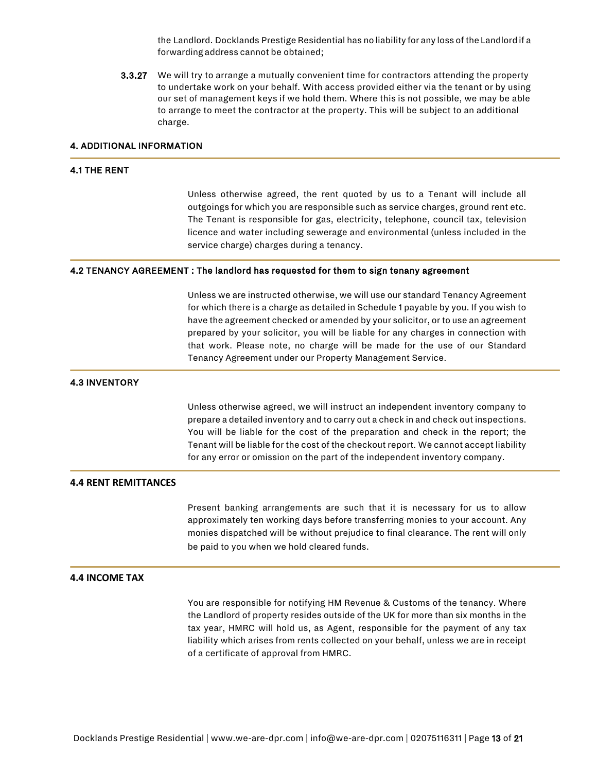the Landlord. Docklands Prestige Residential has no liability for any loss ofthe Landlordif a forwardingaddress cannot be obtained;

3.3.27 We will try to arrange a mutually convenient time for contractors attending the property to undertake work on your behalf. With access provided either via the tenant or by using our set of management keys if we hold them. Where this is not possible, we may be able to arrange to meet the contractor at the property. This will be subject to an additional charge.

# 4. ADDITIONAL INFORMATION

### 4.1 THE RENT

Unless otherwise agreed, the rent quoted by us to a Tenant will include all outgoings for which you are responsible such as service charges, ground rent etc. The Tenant is responsible for gas, electricity, telephone, council tax, television licence and water including sewerage and environmental (unless included in the service charge) charges during a tenancy.

### 4.2 TENANCY AGREEMENT : The landlord has requested for them to sign tenany agreement

Unless we are instructed otherwise, we will use our standard Tenancy Agreement for which there is a charge as detailed in Schedule 1 payable by you. If you wish to have the agreement checked or amended by your solicitor, or to use an agreement prepared by your solicitor, you will be liable for any charges in connection with that work. Please note, no charge will be made for the use of our Standard Tenancy Agreement under our Property Management Service.

# 4.3 INVENTORY

Unless otherwise agreed, we will instruct an independent inventory company to prepare a detailed inventory and to carry out a check in and check out inspections. You will be liable for the cost of the preparation and check in the report; the Tenant will be liable for the cost of the checkout report. We cannot accept liability for any error or omission on the part of the independent inventory company.

# **4.4 RENT REMITTANCES**

Present banking arrangements are such that it is necessary for us to allow approximately ten working days before transferring monies to your account. Any monies dispatched will be without prejudice to final clearance. The rent will only be paid to you when we hold cleared funds.

### **4.4 INCOME TAX**

You are responsible for notifying HM Revenue & Customs of the tenancy. Where the Landlord of property resides outside of the UK for more than six months in the tax year, HMRC will hold us, as Agent, responsible for the payment of any tax liability which arises from rents collected on your behalf, unless we are in receipt of a certificate of approval from HMRC.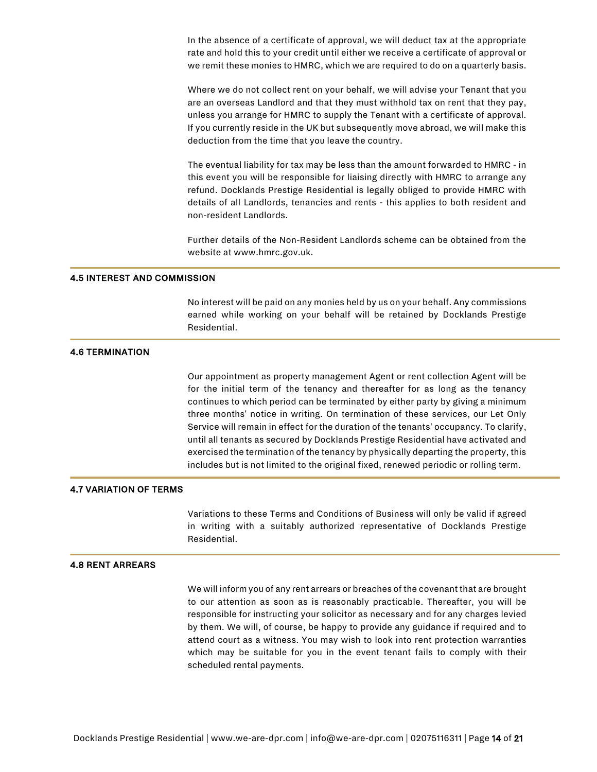In the absence of a certificate of approval, we will deduct tax at the appropriate rate and hold this to your credit until either we receive a certificate of approval or we remit these monies to HMRC, which we are required to do on a quarterly basis.

Where we do not collect rent on your behalf, we will advise your Tenant that you are an overseas Landlord and that they must withhold tax on rent that they pay, unless you arrange for HMRC to supply the Tenant with a certificate of approval. If you currently reside in the UK but subsequently move abroad, we will make this deduction from the time that you leave the country.

The eventual liability for tax may be less than the amount forwarded to HMRC - in this event you will be responsible for liaising directly with HMRC to arrange any refund. Docklands Prestige Residential is legally obliged to provide HMRC with details of all Landlords, tenancies and rents - this applies to both resident and non-resident Landlords.

Further details of the Non-Resident Landlords scheme can be obtained from the website at www.hmrc.gov.uk.

### 4.5 INTEREST AND COMMISSION

No interest will be paid on any monies held by us on your behalf. Any commissions earned while working on your behalf will be retained by Docklands Prestige Residential.

### 4.6 TERMINATION

Our appointment as property management Agent or rent collection Agent will be for the initial term of the tenancy and thereafter for as long as the tenancy continues to which period can be terminated by either party by giving a minimum three months' notice in writing. On termination of these services, our Let Only Service will remain in effect for the duration of the tenants' occupancy. To clarify, until all tenants as secured by Docklands Prestige Residential have activated and exercised the termination of the tenancy by physically departing the property, this includes but is not limited to the original fixed, renewed periodic or rolling term.

### 4.7 VARIATION OF TERMS

Variations to these Terms and Conditions of Business will only be valid if agreed in writing with a suitably authorized representative of Docklands Prestige Residential.

### 4.8 RENT ARREARS

We will inform you of any rent arrears or breaches of the covenant that are brought to our attention as soon as is reasonably practicable. Thereafter, you will be responsible for instructing your solicitor as necessary and for any charges levied by them. We will, of course, be happy to provide any guidance if required and to attend court as a witness. You may wish to look into rent protection warranties which may be suitable for you in the event tenant fails to comply with their scheduled rental payments.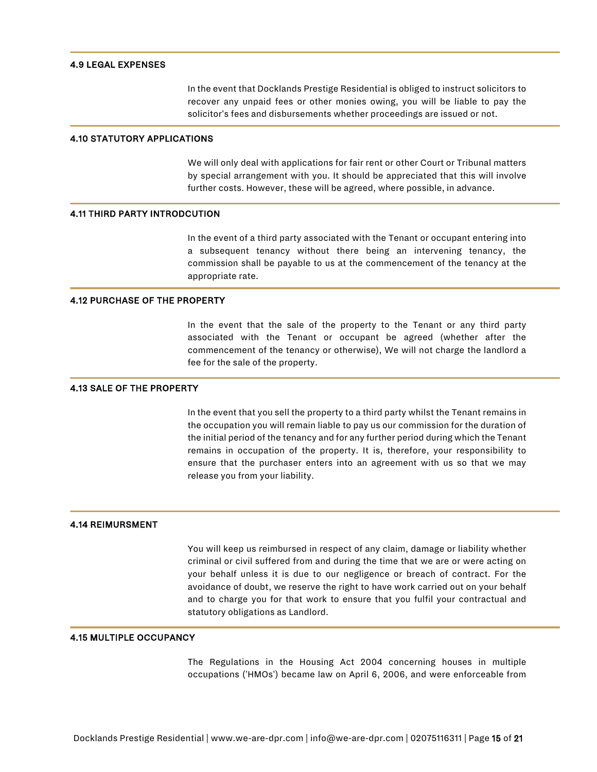### 4.9 LEGAL EXPENSES

In the event that Docklands Prestige Residential is obliged to instruct solicitors to recover any unpaid fees or other monies owing, you will be liable to pay the solicitor's fees and disbursements whether proceedings are issued or not.

### 4.10 STATUTORY APPLICATIONS

We will only deal with applications for fair rent or other Court or Tribunal matters by special arrangement with you. It should be appreciated that this will involve further costs. However, these will be agreed, where possible, in advance.

### 4.11 THIRD PARTY INTRODCUTION

In the event of a third party associated with the Tenant or occupant entering into a subsequent tenancy without there being an intervening tenancy, the commission shall be payable to us at the commencement of the tenancy at the appropriate rate.

### 4.12 PURCHASE OF THE PROPERTY

In the event that the sale of the property to the Tenant or any third party associated with the Tenant or occupant be agreed (whether after the commencement of the tenancy or otherwise), We will not charge the landlord a fee for the sale of the property.

### 4.13 SALE OF THE PROPERTY

In the event that you sell the property to a third party whilst the Tenant remains in the occupation you will remain liable to pay us our commission for the duration of the initial period of the tenancy and for any further period during which the Tenant remains in occupation of the property. It is, therefore, your responsibility to ensure that the purchaser enters into an agreement with us so that we may release you from your liability.

### 4.14 REIMURSMENT

You will keep us reimbursed in respect of any claim, damage or liability whether criminal or civil suffered from and during the time that we are or were acting on your behalf unless it is due to our negligence or breach of contract. For the avoidance of doubt, we reserve the right to have work carried out on your behalf and to charge you for that work to ensure that you fulfil your contractual and statutory obligations as Landlord.

# 4.15 MULTIPLE OCCUPANCY

The Regulations in the Housing Act 2004 concerning houses in multiple occupations ('HMOs') became law on April 6, 2006, and were enforceable from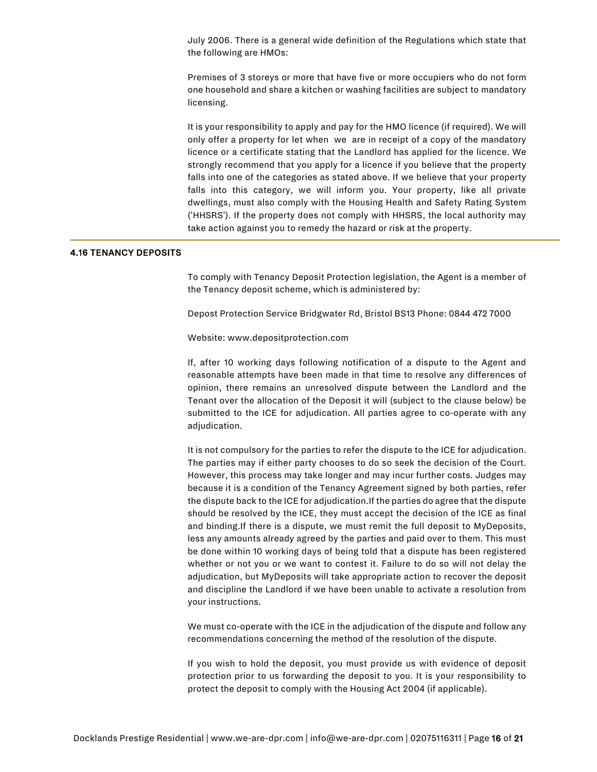July 2006. There is a general wide definition of the Regulations which state that the following are HMOs:

Premises of 3 storeys or more that have five or more occupiers who do not form one household and share a kitchen or washing facilities are subject to mandatory licensing.

It is your responsibility to apply and pay for the HMO licence (if required). We will only offer a property for let when we are in receipt of a copy of the mandatory licence or a certificate stating that the Landlord has applied for the licence. We strongly recommend that you apply for a licence if you believe that the property falls into one of the categories as stated above. If we believe that your property falls into this category, we will inform you. Your property, like all private dwellings, must also comply with the Housing Health and Safety Rating System ('HHSRS'). If the property does not comply with HHSRS, the local authority may take action against you to remedy the hazard or risk at the property.

# 4.16 TENANCY DEPOSITS

To comply with Tenancy Deposit Protection legislation, the Agent is a member of the Tenancy deposit scheme, which is administered by:

Depost Protection Service Bridgwater Rd, Bristol BS13 Phone: 0844 472 7000

Website: www.depositprotection.com

If, after 10 working days following notification of a dispute to the Agent and reasonable attempts have been made in that time to resolve any differences of opinion, there remains an unresolved dispute between the Landlord and the Tenant over the allocation of the Deposit it will (subject to the clause below) be submitted to the ICE for adjudication. All parties agree to co-operate with any adjudication.

It is not compulsory for the parties to refer the dispute to the ICE for adjudication. The parties may if either party chooses to do so seek the decision of the Court. However, this process may take longer and may incur further costs. Judges may because it is a condition of the Tenancy Agreement signed by both parties, refer the dispute back to the ICE for adjudication.If the parties do agree that the dispute should be resolved by the ICE, they must accept the decision of the ICE as final and binding.If there is a dispute, we must remit the full deposit to MyDeposits, less any amounts already agreed by the parties and paid over to them. This must be done within 10 working days of being told that a dispute has been registered whether or not you or we want to contest it. Failure to do so will not delay the adjudication, but MyDeposits will take appropriate action to recover the deposit and discipline the Landlord if we have been unable to activate a resolution from your instructions.

We must co-operate with the ICE in the adjudication of the dispute and follow any recommendations concerning the method of the resolution of the dispute.

If you wish to hold the deposit, you must provide us with evidence of deposit protection prior to us forwarding the deposit to you. It is your responsibility to protect the deposit to comply with the Housing Act 2004 (if applicable).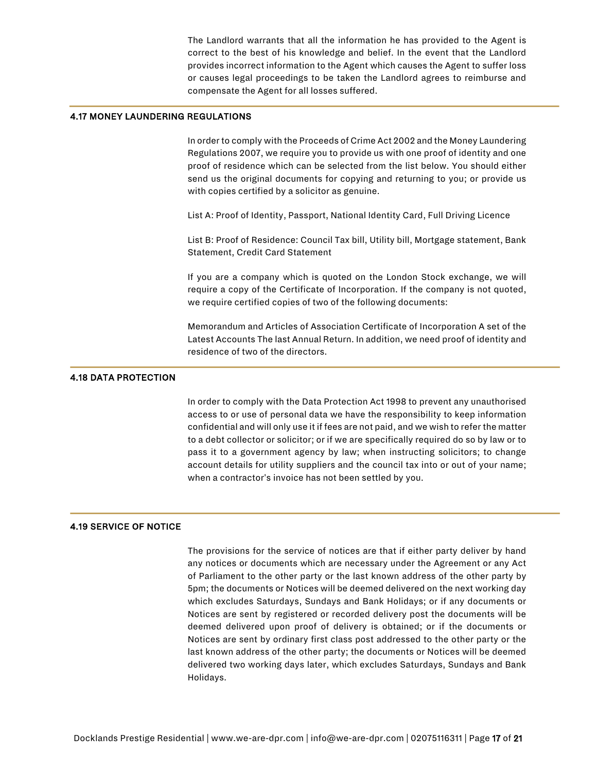The Landlord warrants that all the information he has provided to the Agent is correct to the best of his knowledge and belief. In the event that the Landlord provides incorrect information to the Agent which causes the Agent to suffer loss or causes legal proceedings to be taken the Landlord agrees to reimburse and compensate the Agent for all losses suffered.

# 4.17 MONEY LAUNDERING REGULATIONS

In order to comply with the Proceeds of Crime Act 2002 and the Money Laundering Regulations 2007, we require you to provide us with one proof of identity and one proof of residence which can be selected from the list below. You should either send us the original documents for copying and returning to you; or provide us with copies certified by a solicitor as genuine.

List A: Proof of Identity, Passport, National Identity Card, Full Driving Licence

List B: Proof of Residence: Council Tax bill, Utility bill, Mortgage statement, Bank Statement, Credit Card Statement

If you are a company which is quoted on the London Stock exchange, we will require a copy of the Certificate of Incorporation. If the company is not quoted, we require certified copies of two of the following documents:

Memorandum and Articles of Association Certificate of Incorporation A set of the Latest Accounts The last Annual Return. In addition, we need proof of identity and residence of two of the directors.

# 4.18 DATA PROTECTION

In order to comply with the Data Protection Act 1998 to prevent any unauthorised access to or use of personal data we have the responsibility to keep information confidential and will only use it if fees are not paid, and we wish to refer the matter to a debt collector or solicitor; or if we are specifically required do so by law or to pass it to a government agency by law; when instructing solicitors; to change account details for utility suppliers and the council tax into or out of your name; when a contractor's invoice has not been settled by you.

# 4.19 SERVICE OF NOTICE

The provisions for the service of notices are that if either party deliver by hand any notices or documents which are necessary under the Agreement or any Act of Parliament to the other party or the last known address of the other party by 5pm; the documents or Notices will be deemed delivered on the next working day which excludes Saturdays, Sundays and Bank Holidays; or if any documents or Notices are sent by registered or recorded delivery post the documents will be deemed delivered upon proof of delivery is obtained; or if the documents or Notices are sent by ordinary first class post addressed to the other party or the last known address of the other party; the documents or Notices will be deemed delivered two working days later, which excludes Saturdays, Sundays and Bank Holidays.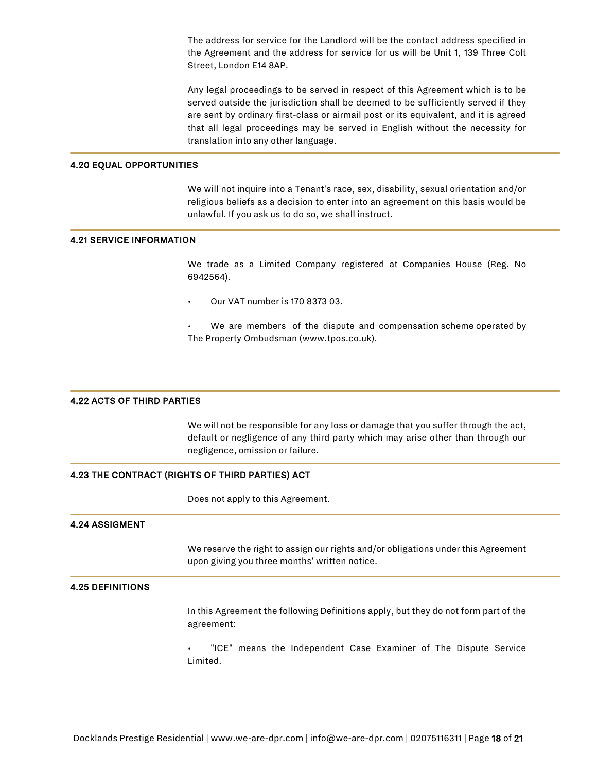The address for service for the Landlord will be the contact address specified in the Agreement and the address for service for us will be Unit 1, 139 Three Colt Street, London E14 8AP.

Any legal proceedings to be served in respect of this Agreement which is to be served outside the jurisdiction shall be deemed to be sufficiently served if they are sent by ordinary first-class or airmail post or its equivalent, and it is agreed that all legal proceedings may be served in English without the necessity for translation into any other language.

### 4.20 EQUAL OPPORTUNITIES

We will not inquire into a Tenant's race, sex, disability, sexual orientation and/or religious beliefs as a decision to enter into an agreement on this basis would be unlawful. If you ask us to do so, we shall instruct.

### 4.21 SERVICE INFORMATION

We trade as a Limited Company registered at Companies House (Reg. No 6942564).

- Our VAT number is 170 8373 03.
- We are members of the dispute and compensation scheme operated by The Property Ombudsman (www.tpos.co.uk).

### 4.22 ACTS OF THIRD PARTIES

We will not be responsible for any loss or damage that you suffer through the act, default or negligence of any third party which may arise other than through our negligence, omission or failure.

### 4.23 THE CONTRACT (RIGHTS OF THIRD PARTIES) ACT

Does not apply to this Agreement.

### 4.24 ASSIGMENT

We reserve the right to assign our rights and/or obligations under this Agreement upon giving you three months' written notice.

### 4.25 DEFINITIONS

In this Agreement the following Definitions apply, but they do not form part of the agreement:

"ICE" means the Independent Case Examiner of The Dispute Service Limited.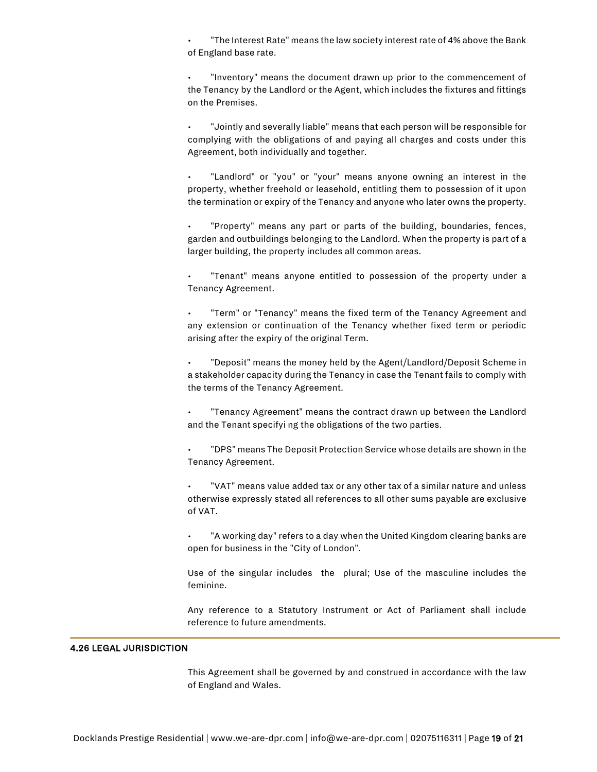• "The Interest Rate" means the law society interest rate of 4% above the Bank of England base rate.

• "Inventory" means the document drawn up prior to the commencement of the Tenancy by the Landlord or the Agent, which includes the fixtures and fittings on the Premises.

• "Jointly and severally liable" means that each person will be responsible for complying with the obligations of and paying all charges and costs under this Agreement, both individually and together.

"Landlord" or "you" or "your" means anyone owning an interest in the property, whether freehold or leasehold, entitling them to possession of it upon the termination or expiry of the Tenancy and anyone who later owns the property.

• "Property" means any part or parts of the building, boundaries, fences, garden and outbuildings belonging to the Landlord. When the property is part of a larger building, the property includes all common areas.

"Tenant" means anyone entitled to possession of the property under a Tenancy Agreement.

"Term" or "Tenancy" means the fixed term of the Tenancy Agreement and any extension or continuation of the Tenancy whether fixed term or periodic arising after the expiry of the original Term.

• "Deposit" means the money held by the Agent/Landlord/Deposit Scheme in a stakeholder capacity during the Tenancy in case the Tenant fails to comply with the terms of the Tenancy Agreement.

• "Tenancy Agreement" means the contract drawn up between the Landlord and the Tenant specifyi ng the obligations of the two parties.

• "DPS" means The Deposit Protection Service whose details are shown in the Tenancy Agreement.

• "VAT" means value added tax or any other tax of a similar nature and unless otherwise expressly stated all references to all other sums payable are exclusive of VAT.

"A working day" refers to a day when the United Kingdom clearing banks are open for business in the "City of London".

Use of the singular includes the plural; Use of the masculine includes the feminine.

Any reference to a Statutory Instrument or Act of Parliament shall include reference to future amendments.

# 4.26 LEGAL JURISDICTION

This Agreement shall be governed by and construed in accordance with the law of England and Wales.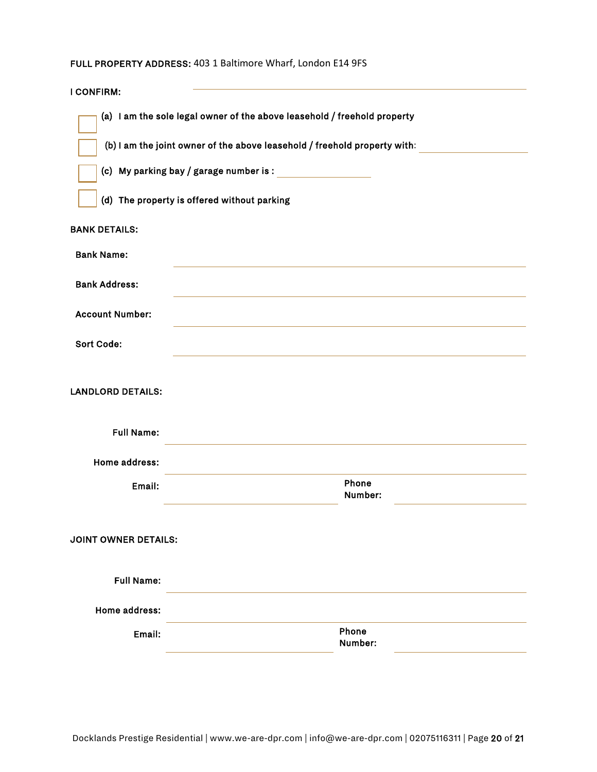# FULL PROPERTY ADDRESS: 403 1 Baltimore Wharf, London E14 9FS

| <b>I CONFIRM:</b>           |                                                                                                                                                       |                  |
|-----------------------------|-------------------------------------------------------------------------------------------------------------------------------------------------------|------------------|
|                             | (a) I am the sole legal owner of the above leasehold / freehold property<br>(b) I am the joint owner of the above leasehold / freehold property with: |                  |
|                             | (c) My parking bay $/$ garage number is : $\overline{\phantom{a}}$                                                                                    |                  |
|                             | (d) The property is offered without parking                                                                                                           |                  |
| <b>BANK DETAILS:</b>        |                                                                                                                                                       |                  |
| <b>Bank Name:</b>           |                                                                                                                                                       |                  |
| <b>Bank Address:</b>        |                                                                                                                                                       |                  |
| <b>Account Number:</b>      |                                                                                                                                                       |                  |
| <b>Sort Code:</b>           |                                                                                                                                                       |                  |
| <b>LANDLORD DETAILS:</b>    |                                                                                                                                                       |                  |
| <b>Full Name:</b>           |                                                                                                                                                       |                  |
| Home address:               |                                                                                                                                                       |                  |
| Email:                      |                                                                                                                                                       | Phone<br>Number: |
| <b>JOINT OWNER DETAILS:</b> |                                                                                                                                                       |                  |
| <b>Full Name:</b>           |                                                                                                                                                       |                  |
| Home address:               |                                                                                                                                                       |                  |
| Email:                      |                                                                                                                                                       | Phone<br>Number: |